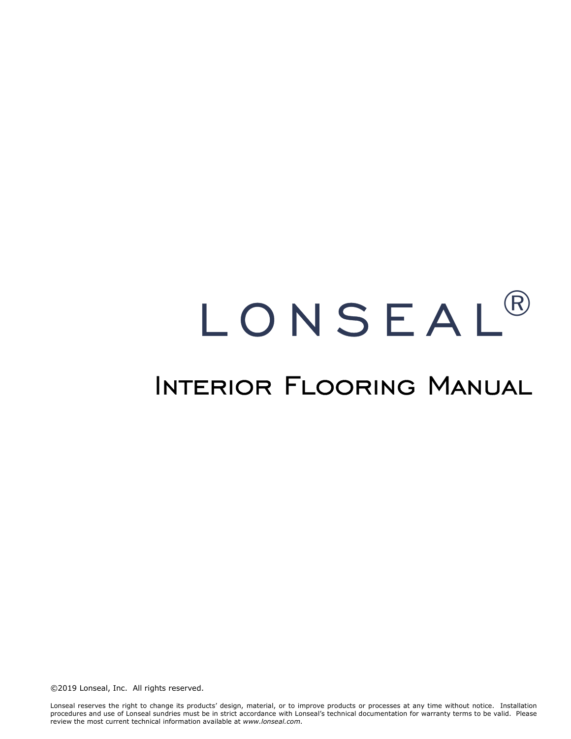# **LONSEAL**  $(R)$

## Interior Flooring Manual

©2019 Lonseal, Inc. All rights reserved.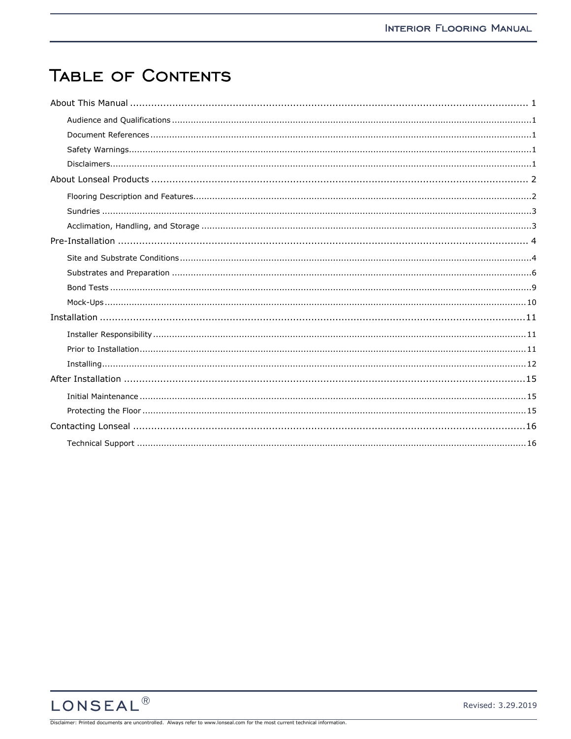## TABLE OF CONTENTS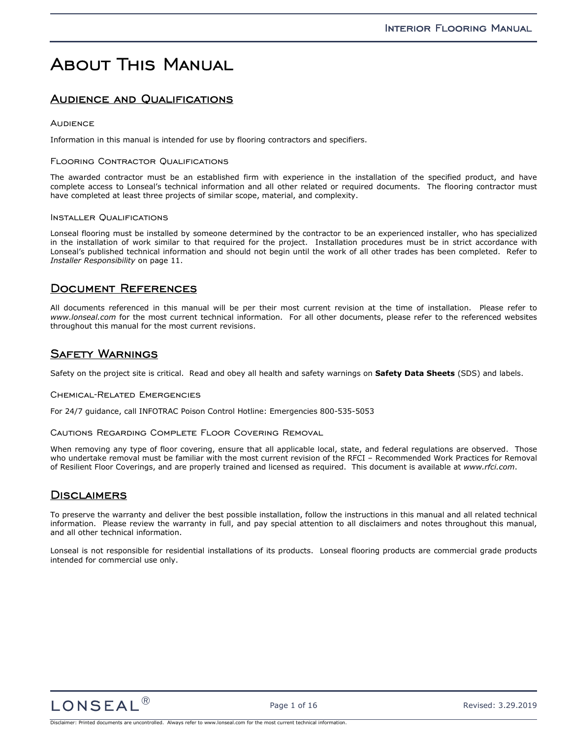## About This Manual

## **AUDIENCE AND QUALIFICATIONS**

#### **AUDIENCE**

Information in this manual is intended for use by flooring contractors and specifiers.

#### FLOORING CONTRACTOR QUALIFICATIONS

The awarded contractor must be an established firm with experience in the installation of the specified product, and have complete access to Lonseal's technical information and all other related or required documents. The flooring contractor must have completed at least three projects of similar scope, material, and complexity.

#### INSTALLER QUALIFICATIONS

Lonseal flooring must be installed by someone determined by the contractor to be an experienced installer, who has specialized in the installation of work similar to that required for the project. Installation procedures must be in strict accordance with Lonseal's published technical information and should not begin until the work of all other trades has been completed. Refer to *Installer Responsibility* on page 11.

### Document References

All documents referenced in this manual will be per their most current revision at the time of installation. Please refer to *www.lonseal.com* for the most current technical information. For all other documents, please refer to the referenced websites throughout this manual for the most current revisions.

## Safety Warnings

Safety on the project site is critical. Read and obey all health and safety warnings on **Safety Data Sheets** (SDS) and labels.

#### Chemical-Related Emergencies

For 24/7 guidance, call INFOTRAC Poison Control Hotline: Emergencies 800-535-5053

#### Cautions Regarding Complete Floor Covering Removal

When removing any type of floor covering, ensure that all applicable local, state, and federal regulations are observed. Those who undertake removal must be familiar with the most current revision of the RFCI – Recommended Work Practices for Removal of Resilient Floor Coverings, and are properly trained and licensed as required. This document is available at *www.rfci.com*.

### **DISCLAIMERS**

To preserve the warranty and deliver the best possible installation, follow the instructions in this manual and all related technical information. Please review the warranty in full, and pay special attention to all disclaimers and notes throughout this manual, and all other technical information.

Lonseal is not responsible for residential installations of its products. Lonseal flooring products are commercial grade products intended for commercial use only.

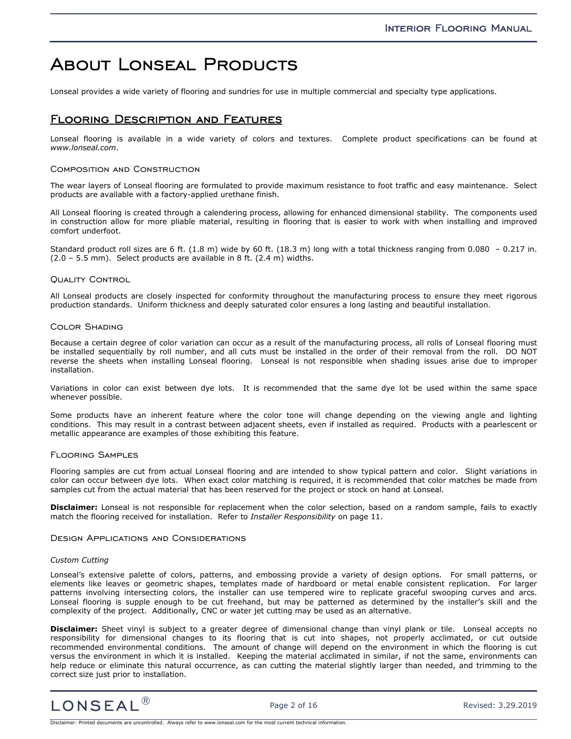## About Lonseal Products

Lonseal provides a wide variety of flooring and sundries for use in multiple commercial and specialty type applications.

## Flooring Description and Features

Lonseal flooring is available in a wide variety of colors and textures. Complete product specifications can be found at *www.lonseal.com*.

#### Composition and Construction

The wear layers of Lonseal flooring are formulated to provide maximum resistance to foot traffic and easy maintenance. Select products are available with a factory-applied urethane finish.

All Lonseal flooring is created through a calendering process, allowing for enhanced dimensional stability. The components used in construction allow for more pliable material, resulting in flooring that is easier to work with when installing and improved comfort underfoot.

Standard product roll sizes are 6 ft. (1.8 m) wide by 60 ft. (18.3 m) long with a total thickness ranging from 0.080 – 0.217 in. (2.0 – 5.5 mm). Select products are available in 8 ft. (2.4 m) widths.

#### **QUALITY CONTROL**

All Lonseal products are closely inspected for conformity throughout the manufacturing process to ensure they meet rigorous production standards. Uniform thickness and deeply saturated color ensures a long lasting and beautiful installation.

#### Color Shading

Because a certain degree of color variation can occur as a result of the manufacturing process, all rolls of Lonseal flooring must be installed sequentially by roll number, and all cuts must be installed in the order of their removal from the roll. DO NOT reverse the sheets when installing Lonseal flooring. Lonseal is not responsible when shading issues arise due to improper installation.

Variations in color can exist between dye lots. It is recommended that the same dye lot be used within the same space whenever possible.

Some products have an inherent feature where the color tone will change depending on the viewing angle and lighting conditions. This may result in a contrast between adjacent sheets, even if installed as required. Products with a pearlescent or metallic appearance are examples of those exhibiting this feature.

#### Flooring Samples

Flooring samples are cut from actual Lonseal flooring and are intended to show typical pattern and color. Slight variations in color can occur between dye lots. When exact color matching is required, it is recommended that color matches be made from samples cut from the actual material that has been reserved for the project or stock on hand at Lonseal.

**Disclaimer:** Lonseal is not responsible for replacement when the color selection, based on a random sample, fails to exactly match the flooring received for installation. Refer to *Installer Responsibility* on page 11.

#### Design Applications and Considerations

#### *Custom Cutting*

Lonseal's extensive palette of colors, patterns, and embossing provide a variety of design options. For small patterns, or elements like leaves or geometric shapes, templates made of hardboard or metal enable consistent replication. For larger patterns involving intersecting colors, the installer can use tempered wire to replicate graceful swooping curves and arcs. Lonseal flooring is supple enough to be cut freehand, but may be patterned as determined by the installer's skill and the complexity of the project. Additionally, CNC or water jet cutting may be used as an alternative.

**Disclaimer:** Sheet vinyl is subject to a greater degree of dimensional change than vinyl plank or tile. Lonseal accepts no responsibility for dimensional changes to its flooring that is cut into shapes, not properly acclimated, or cut outside recommended environmental conditions. The amount of change will depend on the environment in which the flooring is cut versus the environment in which it is installed. Keeping the material acclimated in similar, if not the same, environments can help reduce or eliminate this natural occurrence, as can cutting the material slightly larger than needed, and trimming to the correct size just prior to installation.

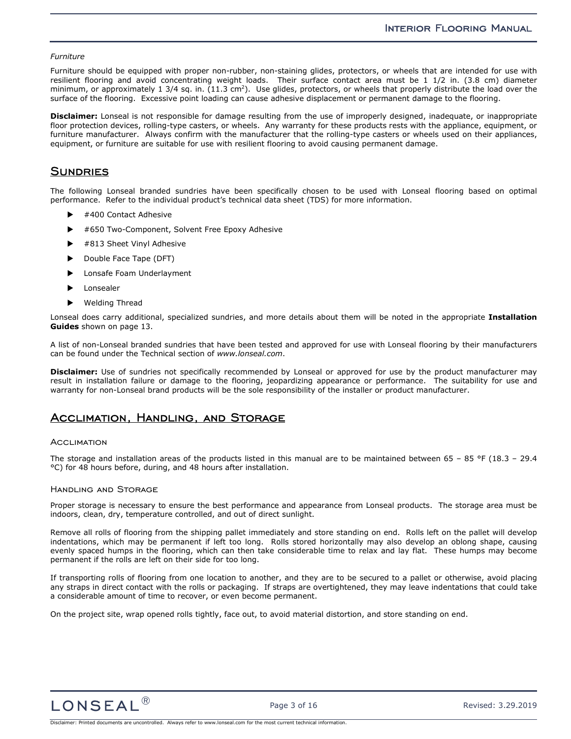#### *Furniture*

Furniture should be equipped with proper non-rubber, non-staining glides, protectors, or wheels that are intended for use with resilient flooring and avoid concentrating weight loads. Their surface contact area must be 1 1/2 in. (3.8 cm) diameter minimum, or approximately 1 3/4 sq. in.  $(11.3 \text{ cm}^2)$ . Use glides, protectors, or wheels that properly distribute the load over the surface of the flooring. Excessive point loading can cause adhesive displacement or permanent damage to the flooring.

**Disclaimer:** Lonseal is not responsible for damage resulting from the use of improperly designed, inadequate, or inappropriate floor protection devices, rolling-type casters, or wheels. Any warranty for these products rests with the appliance, equipment, or furniture manufacturer. Always confirm with the manufacturer that the rolling-type casters or wheels used on their appliances, equipment, or furniture are suitable for use with resilient flooring to avoid causing permanent damage.

## **SUNDRIES**

The following Lonseal branded sundries have been specifically chosen to be used with Lonseal flooring based on optimal performance. Refer to the individual product's technical data sheet (TDS) for more information.

- #400 Contact Adhesive
- #650 Two-Component, Solvent Free Epoxy Adhesive
- ▶ #813 Sheet Vinyl Adhesive
- Double Face Tape (DFT)
- Lonsafe Foam Underlayment
- Lonsealer
- Welding Thread

Lonseal does carry additional, specialized sundries, and more details about them will be noted in the appropriate **Installation Guides** shown on page 13.

A list of non-Lonseal branded sundries that have been tested and approved for use with Lonseal flooring by their manufacturers can be found under the Technical section of *www.lonseal.com*.

**Disclaimer:** Use of sundries not specifically recommended by Lonseal or approved for use by the product manufacturer may result in installation failure or damage to the flooring, jeopardizing appearance or performance. The suitability for use and warranty for non-Lonseal brand products will be the sole responsibility of the installer or product manufacturer.

### Acclimation, Handling, and Storage

#### **ACCLIMATION**

The storage and installation areas of the products listed in this manual are to be maintained between 65 – 85 °F (18.3 – 29.4 °C) for 48 hours before, during, and 48 hours after installation.

#### Handling and Storage

Proper storage is necessary to ensure the best performance and appearance from Lonseal products. The storage area must be indoors, clean, dry, temperature controlled, and out of direct sunlight.

Remove all rolls of flooring from the shipping pallet immediately and store standing on end. Rolls left on the pallet will develop indentations, which may be permanent if left too long. Rolls stored horizontally may also develop an oblong shape, causing evenly spaced humps in the flooring, which can then take considerable time to relax and lay flat. These humps may become permanent if the rolls are left on their side for too long.

If transporting rolls of flooring from one location to another, and they are to be secured to a pallet or otherwise, avoid placing any straps in direct contact with the rolls or packaging. If straps are overtightened, they may leave indentations that could take a considerable amount of time to recover, or even become permanent.

On the project site, wrap opened rolls tightly, face out, to avoid material distortion, and store standing on end.

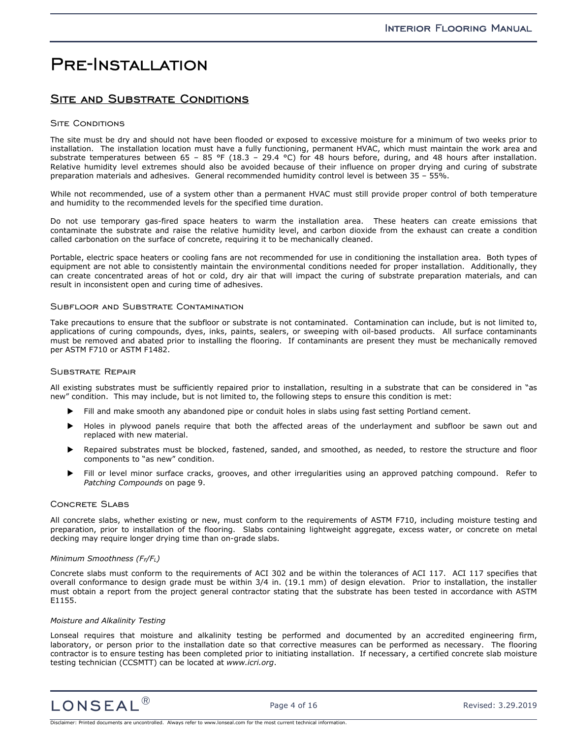## Pre-Installation

## SITE AND SUBSTRATE CONDITIONS

#### **SITE CONDITIONS**

The site must be dry and should not have been flooded or exposed to excessive moisture for a minimum of two weeks prior to installation. The installation location must have a fully functioning, permanent HVAC, which must maintain the work area and substrate temperatures between 65 – 85 °F (18.3 – 29.4 °C) for 48 hours before, during, and 48 hours after installation. Relative humidity level extremes should also be avoided because of their influence on proper drying and curing of substrate preparation materials and adhesives. General recommended humidity control level is between 35 – 55%.

While not recommended, use of a system other than a permanent HVAC must still provide proper control of both temperature and humidity to the recommended levels for the specified time duration.

Do not use temporary gas-fired space heaters to warm the installation area. These heaters can create emissions that contaminate the substrate and raise the relative humidity level, and carbon dioxide from the exhaust can create a condition called carbonation on the surface of concrete, requiring it to be mechanically cleaned.

Portable, electric space heaters or cooling fans are not recommended for use in conditioning the installation area. Both types of equipment are not able to consistently maintain the environmental conditions needed for proper installation. Additionally, they can create concentrated areas of hot or cold, dry air that will impact the curing of substrate preparation materials, and can result in inconsistent open and curing time of adhesives.

#### Subfloor and Substrate Contamination

Take precautions to ensure that the subfloor or substrate is not contaminated. Contamination can include, but is not limited to, applications of curing compounds, dyes, inks, paints, sealers, or sweeping with oil-based products. All surface contaminants must be removed and abated prior to installing the flooring. If contaminants are present they must be mechanically removed per ASTM F710 or ASTM F1482.

#### Substrate Repair

All existing substrates must be sufficiently repaired prior to installation, resulting in a substrate that can be considered in "as new" condition. This may include, but is not limited to, the following steps to ensure this condition is met:

- Fill and make smooth any abandoned pipe or conduit holes in slabs using fast setting Portland cement.
- Holes in plywood panels require that both the affected areas of the underlayment and subfloor be sawn out and replaced with new material.
- Repaired substrates must be blocked, fastened, sanded, and smoothed, as needed, to restore the structure and floor components to "as new" condition.
- Fill or level minor surface cracks, grooves, and other irregularities using an approved patching compound. Refer to *Patching Compounds* on page 9.

#### Concrete Slabs

All concrete slabs, whether existing or new, must conform to the requirements of ASTM F710, including moisture testing and preparation, prior to installation of the flooring. Slabs containing lightweight aggregate, excess water, or concrete on metal decking may require longer drying time than on-grade slabs.

#### *Minimum Smoothness (FF/FL)*

Concrete slabs must conform to the requirements of ACI 302 and be within the tolerances of ACI 117. ACI 117 specifies that overall conformance to design grade must be within 3/4 in. (19.1 mm) of design elevation. Prior to installation, the installer must obtain a report from the project general contractor stating that the substrate has been tested in accordance with ASTM E1155.

#### *Moisture and Alkalinity Testing*

Lonseal requires that moisture and alkalinity testing be performed and documented by an accredited engineering firm, laboratory, or person prior to the installation date so that corrective measures can be performed as necessary. The flooring contractor is to ensure testing has been completed prior to initiating installation. If necessary, a certified concrete slab moisture testing technician (CCSMTT) can be located at *www.icri.org*.

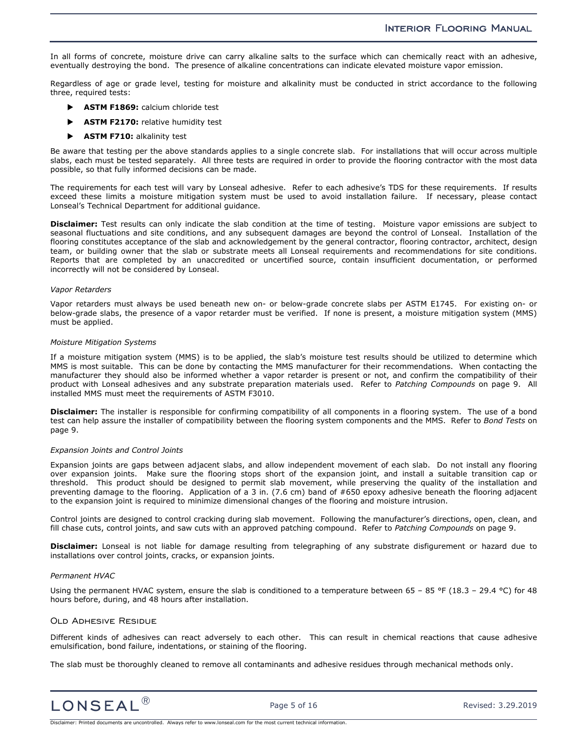In all forms of concrete, moisture drive can carry alkaline salts to the surface which can chemically react with an adhesive, eventually destroying the bond. The presence of alkaline concentrations can indicate elevated moisture vapor emission.

Regardless of age or grade level, testing for moisture and alkalinity must be conducted in strict accordance to the following three, required tests:

- **ASTM F1869:** calcium chloride test
- **ASTM F2170:** relative humidity test
- **ASTM F710:** alkalinity test

Be aware that testing per the above standards applies to a single concrete slab. For installations that will occur across multiple slabs, each must be tested separately. All three tests are required in order to provide the flooring contractor with the most data possible, so that fully informed decisions can be made.

The requirements for each test will vary by Lonseal adhesive. Refer to each adhesive's TDS for these requirements. If results exceed these limits a moisture mitigation system must be used to avoid installation failure. If necessary, please contact Lonseal's Technical Department for additional guidance.

**Disclaimer:** Test results can only indicate the slab condition at the time of testing. Moisture vapor emissions are subject to seasonal fluctuations and site conditions, and any subsequent damages are beyond the control of Lonseal. Installation of the flooring constitutes acceptance of the slab and acknowledgement by the general contractor, flooring contractor, architect, design team, or building owner that the slab or substrate meets all Lonseal requirements and recommendations for site conditions. Reports that are completed by an unaccredited or uncertified source, contain insufficient documentation, or performed incorrectly will not be considered by Lonseal.

#### *Vapor Retarders*

Vapor retarders must always be used beneath new on- or below-grade concrete slabs per ASTM E1745. For existing on- or below-grade slabs, the presence of a vapor retarder must be verified. If none is present, a moisture mitigation system (MMS) must be applied.

#### *Moisture Mitigation Systems*

If a moisture mitigation system (MMS) is to be applied, the slab's moisture test results should be utilized to determine which MMS is most suitable. This can be done by contacting the MMS manufacturer for their recommendations. When contacting the manufacturer they should also be informed whether a vapor retarder is present or not, and confirm the compatibility of their product with Lonseal adhesives and any substrate preparation materials used. Refer to *Patching Compounds* on page 9. All installed MMS must meet the requirements of ASTM F3010.

**Disclaimer:** The installer is responsible for confirming compatibility of all components in a flooring system. The use of a bond test can help assure the installer of compatibility between the flooring system components and the MMS. Refer to *Bond Tests* on page 9.

#### *Expansion Joints and Control Joints*

Expansion joints are gaps between adjacent slabs, and allow independent movement of each slab. Do not install any flooring over expansion joints. Make sure the flooring stops short of the expansion joint, and install a suitable transition cap or threshold. This product should be designed to permit slab movement, while preserving the quality of the installation and preventing damage to the flooring. Application of a 3 in. (7.6 cm) band of #650 epoxy adhesive beneath the flooring adjacent to the expansion joint is required to minimize dimensional changes of the flooring and moisture intrusion.

Control joints are designed to control cracking during slab movement. Following the manufacturer's directions, open, clean, and fill chase cuts, control joints, and saw cuts with an approved patching compound. Refer to *Patching Compounds* on page 9.

**Disclaimer:** Lonseal is not liable for damage resulting from telegraphing of any substrate disfigurement or hazard due to installations over control joints, cracks, or expansion joints.

#### *Permanent HVAC*

Using the permanent HVAC system, ensure the slab is conditioned to a temperature between 65 – 85 °F (18.3 – 29.4 °C) for 48 hours before, during, and 48 hours after installation.

#### Old Adhesive Residue

Different kinds of adhesives can react adversely to each other. This can result in chemical reactions that cause adhesive emulsification, bond failure, indentations, or staining of the flooring.

The slab must be thoroughly cleaned to remove all contaminants and adhesive residues through mechanical methods only.

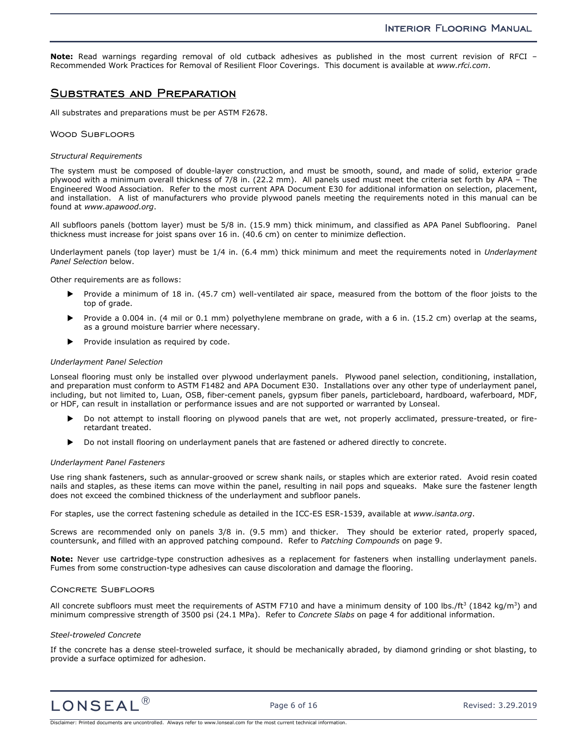**Note:** Read warnings regarding removal of old cutback adhesives as published in the most current revision of RFCI – Recommended Work Practices for Removal of Resilient Floor Coverings. This document is available at *www.rfci.com*.

### Substrates and Preparation

All substrates and preparations must be per ASTM F2678.

#### Wood Subfloors

#### *Structural Requirements*

The system must be composed of double-layer construction, and must be smooth, sound, and made of solid, exterior grade plywood with a minimum overall thickness of 7/8 in. (22.2 mm). All panels used must meet the criteria set forth by APA – The Engineered Wood Association. Refer to the most current APA Document E30 for additional information on selection, placement, and installation. A list of manufacturers who provide plywood panels meeting the requirements noted in this manual can be found at *www.apawood.org*.

All subfloors panels (bottom layer) must be 5/8 in. (15.9 mm) thick minimum, and classified as APA Panel Subflooring. Panel thickness must increase for joist spans over 16 in. (40.6 cm) on center to minimize deflection.

Underlayment panels (top layer) must be 1/4 in. (6.4 mm) thick minimum and meet the requirements noted in *Underlayment Panel Selection* below.

Other requirements are as follows:

- Provide a minimum of 18 in. (45.7 cm) well-ventilated air space, measured from the bottom of the floor joists to the top of grade.
- Provide a 0.004 in. (4 mil or 0.1 mm) polyethylene membrane on grade, with a 6 in. (15.2 cm) overlap at the seams, as a ground moisture barrier where necessary.
- Provide insulation as required by code.

#### *Underlayment Panel Selection*

Lonseal flooring must only be installed over plywood underlayment panels. Plywood panel selection, conditioning, installation, and preparation must conform to ASTM F1482 and APA Document E30. Installations over any other type of underlayment panel, including, but not limited to, Luan, OSB, fiber-cement panels, gypsum fiber panels, particleboard, hardboard, waferboard, MDF, or HDF, can result in installation or performance issues and are not supported or warranted by Lonseal.

- Do not attempt to install flooring on plywood panels that are wet, not properly acclimated, pressure-treated, or fireretardant treated.
- Do not install flooring on underlayment panels that are fastened or adhered directly to concrete.

#### *Underlayment Panel Fasteners*

Use ring shank fasteners, such as annular-grooved or screw shank nails, or staples which are exterior rated. Avoid resin coated nails and staples, as these items can move within the panel, resulting in nail pops and squeaks. Make sure the fastener length does not exceed the combined thickness of the underlayment and subfloor panels.

For staples, use the correct fastening schedule as detailed in the ICC-ES ESR-1539, available at *www.isanta.org*.

Screws are recommended only on panels 3/8 in. (9.5 mm) and thicker. They should be exterior rated, properly spaced, countersunk, and filled with an approved patching compound. Refer to *Patching Compounds* on page 9.

**Note:** Never use cartridge-type construction adhesives as a replacement for fasteners when installing underlayment panels. Fumes from some construction-type adhesives can cause discoloration and damage the flooring.

#### Concrete Subfloors

All concrete subfloors must meet the requirements of ASTM F710 and have a minimum density of 100 lbs./ft<sup>3</sup> (1842 kg/m<sup>3</sup>) and minimum compressive strength of 3500 psi (24.1 MPa). Refer to *Concrete Slabs* on page 4 for additional information.

#### *Steel-troweled Concrete*

If the concrete has a dense steel-troweled surface, it should be mechanically abraded, by diamond grinding or shot blasting, to provide a surface optimized for adhesion.

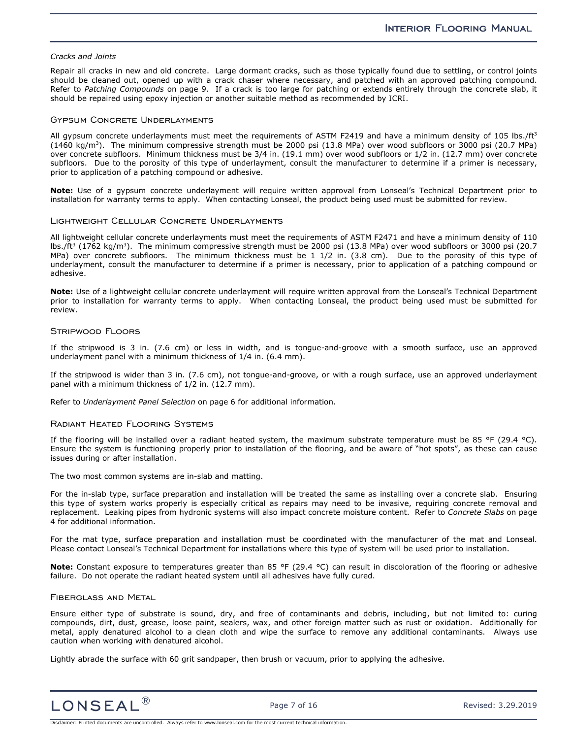#### *Cracks and Joints*

Repair all cracks in new and old concrete. Large dormant cracks, such as those typically found due to settling, or control joints should be cleaned out, opened up with a crack chaser where necessary, and patched with an approved patching compound. Refer to *Patching Compounds* on page 9. If a crack is too large for patching or extends entirely through the concrete slab, it should be repaired using epoxy injection or another suitable method as recommended by ICRI.

#### Gypsum Concrete Underlayments

All gypsum concrete underlayments must meet the requirements of ASTM F2419 and have a minimum density of 105 lbs./ft<sup>3</sup> (1460 kg/m<sup>3</sup>). The minimum compressive strength must be 2000 psi (13.8 MPa) over wood subfloors or 3000 psi (20.7 MPa) over concrete subfloors. Minimum thickness must be 3/4 in. (19.1 mm) over wood subfloors or 1/2 in. (12.7 mm) over concrete subfloors. Due to the porosity of this type of underlayment, consult the manufacturer to determine if a primer is necessary, prior to application of a patching compound or adhesive.

**Note:** Use of a gypsum concrete underlayment will require written approval from Lonseal's Technical Department prior to installation for warranty terms to apply. When contacting Lonseal, the product being used must be submitted for review.

#### Lightweight Cellular Concrete Underlayments

All lightweight cellular concrete underlayments must meet the requirements of ASTM F2471 and have a minimum density of 110 lbs./ft<sup>3</sup> (1762 kg/m<sup>3</sup>). The minimum compressive strength must be 2000 psi (13.8 MPa) over wood subfloors or 3000 psi (20.7 MPa) over concrete subfloors. The minimum thickness must be 1 1/2 in. (3.8 cm). Due to the porosity of this type of underlayment, consult the manufacturer to determine if a primer is necessary, prior to application of a patching compound or adhesive.

**Note:** Use of a lightweight cellular concrete underlayment will require written approval from the Lonseal's Technical Department prior to installation for warranty terms to apply. When contacting Lonseal, the product being used must be submitted for review.

#### Stripwood Floors

If the stripwood is 3 in. (7.6 cm) or less in width, and is tongue-and-groove with a smooth surface, use an approved underlayment panel with a minimum thickness of 1/4 in. (6.4 mm).

If the stripwood is wider than 3 in. (7.6 cm), not tongue-and-groove, or with a rough surface, use an approved underlayment panel with a minimum thickness of 1/2 in. (12.7 mm).

Refer to *Underlayment Panel Selection* on page 6 for additional information.

#### Radiant Heated Flooring Systems

If the flooring will be installed over a radiant heated system, the maximum substrate temperature must be 85 °F (29.4 °C). Ensure the system is functioning properly prior to installation of the flooring, and be aware of "hot spots", as these can cause issues during or after installation.

The two most common systems are in-slab and matting.

For the in-slab type, surface preparation and installation will be treated the same as installing over a concrete slab. Ensuring this type of system works properly is especially critical as repairs may need to be invasive, requiring concrete removal and replacement. Leaking pipes from hydronic systems will also impact concrete moisture content. Refer to *Concrete Slabs* on page 4 for additional information.

For the mat type, surface preparation and installation must be coordinated with the manufacturer of the mat and Lonseal. Please contact Lonseal's Technical Department for installations where this type of system will be used prior to installation.

**Note:** Constant exposure to temperatures greater than 85 °F (29.4 °C) can result in discoloration of the flooring or adhesive failure. Do not operate the radiant heated system until all adhesives have fully cured.

#### Fiberglass and Metal

Ensure either type of substrate is sound, dry, and free of contaminants and debris, including, but not limited to: curing compounds, dirt, dust, grease, loose paint, sealers, wax, and other foreign matter such as rust or oxidation. Additionally for metal, apply denatured alcohol to a clean cloth and wipe the surface to remove any additional contaminants. Always use caution when working with denatured alcohol.

Lightly abrade the surface with 60 grit sandpaper, then brush or vacuum, prior to applying the adhesive.

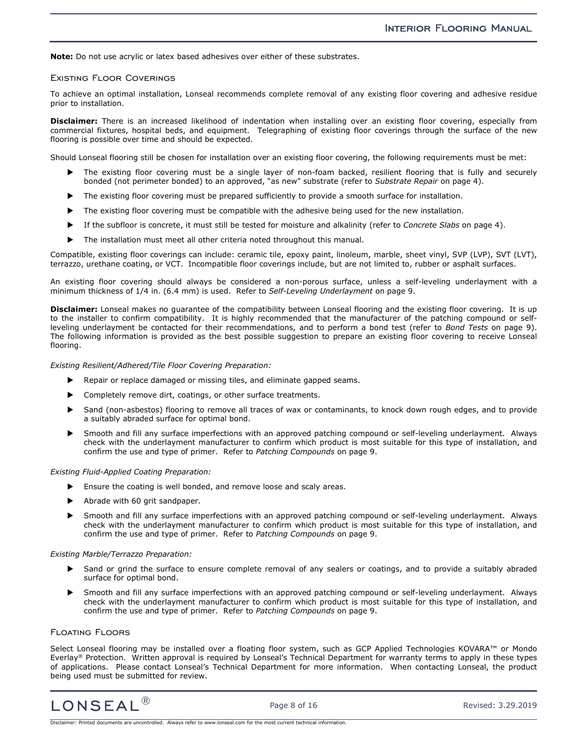**Note:** Do not use acrylic or latex based adhesives over either of these substrates.

#### Existing Floor Coverings

To achieve an optimal installation, Lonseal recommends complete removal of any existing floor covering and adhesive residue prior to installation.

**Disclaimer:** There is an increased likelihood of indentation when installing over an existing floor covering, especially from commercial fixtures, hospital beds, and equipment. Telegraphing of existing floor coverings through the surface of the new flooring is possible over time and should be expected.

Should Lonseal flooring still be chosen for installation over an existing floor covering, the following requirements must be met:

- The existing floor covering must be a single layer of non-foam backed, resilient flooring that is fully and securely bonded (not perimeter bonded) to an approved, "as new" substrate (refer to *Substrate Repair* on page 4).
- The existing floor covering must be prepared sufficiently to provide a smooth surface for installation.
- The existing floor covering must be compatible with the adhesive being used for the new installation.
- If the subfloor is concrete, it must still be tested for moisture and alkalinity (refer to *Concrete Slabs* on page 4).
- The installation must meet all other criteria noted throughout this manual.

Compatible, existing floor coverings can include: ceramic tile, epoxy paint, linoleum, marble, sheet vinyl, SVP (LVP), SVT (LVT), terrazzo, urethane coating, or VCT. Incompatible floor coverings include, but are not limited to, rubber or asphalt surfaces.

An existing floor covering should always be considered a non-porous surface, unless a self-leveling underlayment with a minimum thickness of 1/4 in. (6.4 mm) is used. Refer to *Self-Leveling Underlayment* on page 9.

**Disclaimer:** Lonseal makes no guarantee of the compatibility between Lonseal flooring and the existing floor covering. It is up to the installer to confirm compatibility. It is highly recommended that the manufacturer of the patching compound or selfleveling underlayment be contacted for their recommendations, and to perform a bond test (refer to *Bond Tests* on page 9). The following information is provided as the best possible suggestion to prepare an existing floor covering to receive Lonseal flooring.

*Existing Resilient/Adhered/Tile Floor Covering Preparation:* 

- Repair or replace damaged or missing tiles, and eliminate gapped seams.
- Completely remove dirt, coatings, or other surface treatments.
- Sand (non-asbestos) flooring to remove all traces of wax or contaminants, to knock down rough edges, and to provide a suitably abraded surface for optimal bond.
- Smooth and fill any surface imperfections with an approved patching compound or self-leveling underlayment. Always check with the underlayment manufacturer to confirm which product is most suitable for this type of installation, and confirm the use and type of primer. Refer to *Patching Compounds* on page 9.

#### *Existing Fluid-Applied Coating Preparation:*

- Ensure the coating is well bonded, and remove loose and scaly areas.
- Abrade with 60 grit sandpaper.
- Smooth and fill any surface imperfections with an approved patching compound or self-leveling underlayment. Always check with the underlayment manufacturer to confirm which product is most suitable for this type of installation, and confirm the use and type of primer. Refer to *Patching Compounds* on page 9.

*Existing Marble/Terrazzo Preparation:* 

- Sand or grind the surface to ensure complete removal of any sealers or coatings, and to provide a suitably abraded surface for optimal bond.
- Smooth and fill any surface imperfections with an approved patching compound or self-leveling underlayment. Always check with the underlayment manufacturer to confirm which product is most suitable for this type of installation, and confirm the use and type of primer. Refer to *Patching Compounds* on page 9.

#### Floating Floors

Select Lonseal flooring may be installed over a floating floor system, such as GCP Applied Technologies KOVARA™ or Mondo Everlay® Protection. Written approval is required by Lonseal's Technical Department for warranty terms to apply in these types of applications. Please contact Lonseal's Technical Department for more information. When contacting Lonseal, the product being used must be submitted for review.

 $\textsf{LOSEAL}^{\text{\tiny{(b)}}}$  Page 8 of 16 Revised: 3.29.2019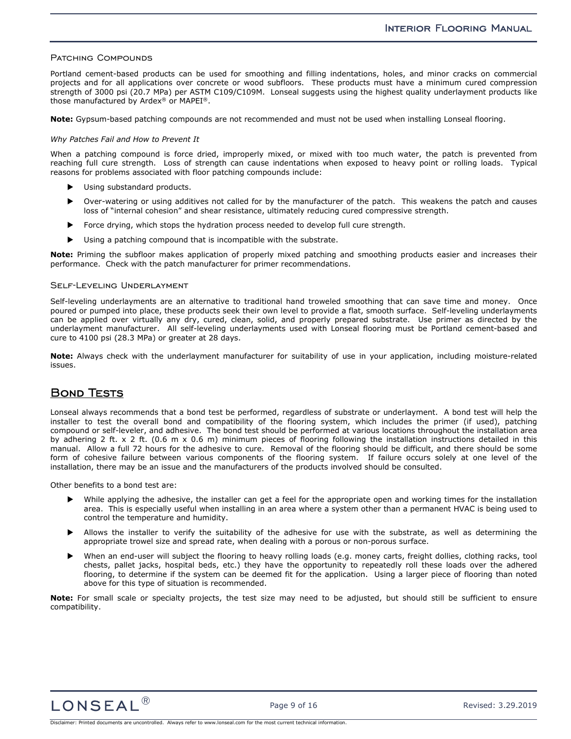#### PATCHING COMPOUNDS

Portland cement-based products can be used for smoothing and filling indentations, holes, and minor cracks on commercial projects and for all applications over concrete or wood subfloors. These products must have a minimum cured compression strength of 3000 psi (20.7 MPa) per ASTM C109/C109M. Lonseal suggests using the highest quality underlayment products like those manufactured by Ardex® or MAPEI®.

**Note:** Gypsum-based patching compounds are not recommended and must not be used when installing Lonseal flooring.

#### *Why Patches Fail and How to Prevent It*

When a patching compound is force dried, improperly mixed, or mixed with too much water, the patch is prevented from reaching full cure strength. Loss of strength can cause indentations when exposed to heavy point or rolling loads. Typical reasons for problems associated with floor patching compounds include:

- Using substandard products.
- Over-watering or using additives not called for by the manufacturer of the patch. This weakens the patch and causes loss of "internal cohesion" and shear resistance, ultimately reducing cured compressive strength.
- Force drying, which stops the hydration process needed to develop full cure strength.
- Using a patching compound that is incompatible with the substrate.

**Note:** Priming the subfloor makes application of properly mixed patching and smoothing products easier and increases their performance. Check with the patch manufacturer for primer recommendations.

#### Self-Leveling Underlayment

Self-leveling underlayments are an alternative to traditional hand troweled smoothing that can save time and money. Once poured or pumped into place, these products seek their own level to provide a flat, smooth surface. Self-leveling underlayments can be applied over virtually any dry, cured, clean, solid, and properly prepared substrate. Use primer as directed by the underlayment manufacturer. All self-leveling underlayments used with Lonseal flooring must be Portland cement-based and cure to 4100 psi (28.3 MPa) or greater at 28 days.

**Note:** Always check with the underlayment manufacturer for suitability of use in your application, including moisture-related issues.

## **BOND TESTS**

Lonseal always recommends that a bond test be performed, regardless of substrate or underlayment. A bond test will help the installer to test the overall bond and compatibility of the flooring system, which includes the primer (if used), patching compound or self-leveler, and adhesive. The bond test should be performed at various locations throughout the installation area by adhering 2 ft. x 2 ft. (0.6 m x 0.6 m) minimum pieces of flooring following the installation instructions detailed in this manual. Allow a full 72 hours for the adhesive to cure. Removal of the flooring should be difficult, and there should be some form of cohesive failure between various components of the flooring system. If failure occurs solely at one level of the installation, there may be an issue and the manufacturers of the products involved should be consulted.

Other benefits to a bond test are:

- While applying the adhesive, the installer can get a feel for the appropriate open and working times for the installation area. This is especially useful when installing in an area where a system other than a permanent HVAC is being used to control the temperature and humidity.
- Allows the installer to verify the suitability of the adhesive for use with the substrate, as well as determining the appropriate trowel size and spread rate, when dealing with a porous or non-porous surface.
- When an end-user will subject the flooring to heavy rolling loads (e.g. money carts, freight dollies, clothing racks, tool chests, pallet jacks, hospital beds, etc.) they have the opportunity to repeatedly roll these loads over the adhered flooring, to determine if the system can be deemed fit for the application. Using a larger piece of flooring than noted above for this type of situation is recommended.

**Note:** For small scale or specialty projects, the test size may need to be adjusted, but should still be sufficient to ensure compatibility.

 $\textsf{LONSEAL}^{\textcircled{\tiny{\textsf{R}}}}$  Page 9 of 16 Revised: 3.29.2019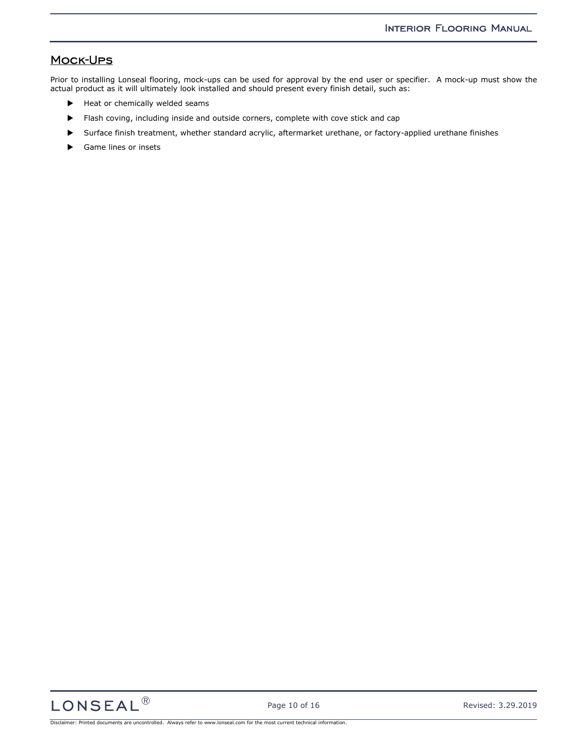## Mock-Ups

Prior to installing Lonseal flooring, mock-ups can be used for approval by the end user or specifier. A mock-up must show the actual product as it will ultimately look installed and should present every finish detail, such as:

- Heat or chemically welded seams
- Flash coving, including inside and outside corners, complete with cove stick and cap
- Surface finish treatment, whether standard acrylic, aftermarket urethane, or factory-applied urethane finishes
- Game lines or insets

 $LONSEAL<sup>®</sup>$  Page 10 of 16 Revised: 3.29.2019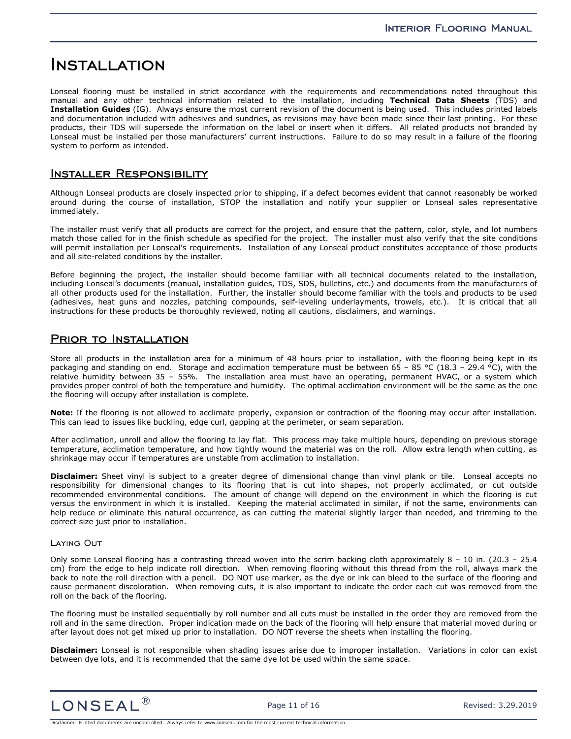## Installation

Lonseal flooring must be installed in strict accordance with the requirements and recommendations noted throughout this manual and any other technical information related to the installation, including **Technical Data Sheets** (TDS) and **Installation Guides** (IG). Always ensure the most current revision of the document is being used. This includes printed labels and documentation included with adhesives and sundries, as revisions may have been made since their last printing. For these products, their TDS will supersede the information on the label or insert when it differs. All related products not branded by Lonseal must be installed per those manufacturers' current instructions. Failure to do so may result in a failure of the flooring system to perform as intended.

## Installer Responsibility

Although Lonseal products are closely inspected prior to shipping, if a defect becomes evident that cannot reasonably be worked around during the course of installation, STOP the installation and notify your supplier or Lonseal sales representative immediately.

The installer must verify that all products are correct for the project, and ensure that the pattern, color, style, and lot numbers match those called for in the finish schedule as specified for the project. The installer must also verify that the site conditions will permit installation per Lonseal's requirements. Installation of any Lonseal product constitutes acceptance of those products and all site-related conditions by the installer.

Before beginning the project, the installer should become familiar with all technical documents related to the installation, including Lonseal's documents (manual, installation guides, TDS, SDS, bulletins, etc.) and documents from the manufacturers of all other products used for the installation. Further, the installer should become familiar with the tools and products to be used (adhesives, heat guns and nozzles, patching compounds, self-leveling underlayments, trowels, etc.). It is critical that all instructions for these products be thoroughly reviewed, noting all cautions, disclaimers, and warnings.

## PRIOR TO INSTALLATION

Store all products in the installation area for a minimum of 48 hours prior to installation, with the flooring being kept in its packaging and standing on end. Storage and acclimation temperature must be between 65 – 85 °C (18.3 – 29.4 °C), with the relative humidity between 35 – 55%. The installation area must have an operating, permanent HVAC, or a system which provides proper control of both the temperature and humidity. The optimal acclimation environment will be the same as the one the flooring will occupy after installation is complete.

**Note:** If the flooring is not allowed to acclimate properly, expansion or contraction of the flooring may occur after installation. This can lead to issues like buckling, edge curl, gapping at the perimeter, or seam separation.

After acclimation, unroll and allow the flooring to lay flat. This process may take multiple hours, depending on previous storage temperature, acclimation temperature, and how tightly wound the material was on the roll. Allow extra length when cutting, as shrinkage may occur if temperatures are unstable from acclimation to installation.

**Disclaimer:** Sheet vinyl is subject to a greater degree of dimensional change than vinyl plank or tile. Lonseal accepts no responsibility for dimensional changes to its flooring that is cut into shapes, not properly acclimated, or cut outside recommended environmental conditions. The amount of change will depend on the environment in which the flooring is cut versus the environment in which it is installed. Keeping the material acclimated in similar, if not the same, environments can help reduce or eliminate this natural occurrence, as can cutting the material slightly larger than needed, and trimming to the correct size just prior to installation.

#### Laying Out

Only some Lonseal flooring has a contrasting thread woven into the scrim backing cloth approximately  $8 - 10$  in. (20.3 – 25.4) cm) from the edge to help indicate roll direction. When removing flooring without this thread from the roll, always mark the back to note the roll direction with a pencil. DO NOT use marker, as the dye or ink can bleed to the surface of the flooring and cause permanent discoloration. When removing cuts, it is also important to indicate the order each cut was removed from the roll on the back of the flooring.

The flooring must be installed sequentially by roll number and all cuts must be installed in the order they are removed from the roll and in the same direction. Proper indication made on the back of the flooring will help ensure that material moved during or after layout does not get mixed up prior to installation. DO NOT reverse the sheets when installing the flooring.

**Disclaimer:** Lonseal is not responsible when shading issues arise due to improper installation. Variations in color can exist between dye lots, and it is recommended that the same dye lot be used within the same space.

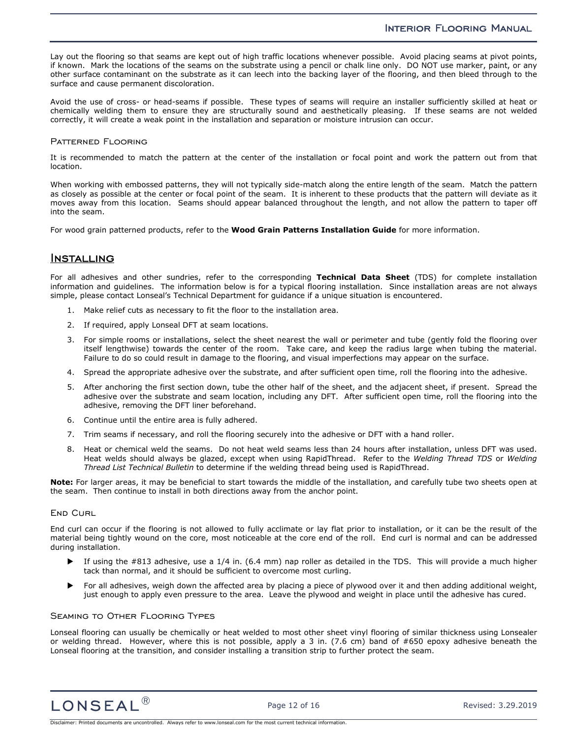### INTERIOR FLOORING MANUAL

Lay out the flooring so that seams are kept out of high traffic locations whenever possible. Avoid placing seams at pivot points, if known. Mark the locations of the seams on the substrate using a pencil or chalk line only. DO NOT use marker, paint, or any other surface contaminant on the substrate as it can leech into the backing layer of the flooring, and then bleed through to the surface and cause permanent discoloration.

Avoid the use of cross- or head-seams if possible. These types of seams will require an installer sufficiently skilled at heat or chemically welding them to ensure they are structurally sound and aesthetically pleasing. If these seams are not welded correctly, it will create a weak point in the installation and separation or moisture intrusion can occur.

#### PATTERNED FLOORING

It is recommended to match the pattern at the center of the installation or focal point and work the pattern out from that location.

When working with embossed patterns, they will not typically side-match along the entire length of the seam. Match the pattern as closely as possible at the center or focal point of the seam. It is inherent to these products that the pattern will deviate as it moves away from this location. Seams should appear balanced throughout the length, and not allow the pattern to taper off into the seam.

For wood grain patterned products, refer to the **Wood Grain Patterns Installation Guide** for more information.

### Installing

For all adhesives and other sundries, refer to the corresponding **Technical Data Sheet** (TDS) for complete installation information and guidelines. The information below is for a typical flooring installation. Since installation areas are not always simple, please contact Lonseal's Technical Department for guidance if a unique situation is encountered.

- 1. Make relief cuts as necessary to fit the floor to the installation area.
- 2. If required, apply Lonseal DFT at seam locations.
- 3. For simple rooms or installations, select the sheet nearest the wall or perimeter and tube (gently fold the flooring over itself lengthwise) towards the center of the room. Take care, and keep the radius large when tubing the material. Failure to do so could result in damage to the flooring, and visual imperfections may appear on the surface.
- 4. Spread the appropriate adhesive over the substrate, and after sufficient open time, roll the flooring into the adhesive.
- 5. After anchoring the first section down, tube the other half of the sheet, and the adjacent sheet, if present. Spread the adhesive over the substrate and seam location, including any DFT. After sufficient open time, roll the flooring into the adhesive, removing the DFT liner beforehand.
- 6. Continue until the entire area is fully adhered.
- 7. Trim seams if necessary, and roll the flooring securely into the adhesive or DFT with a hand roller.
- 8. Heat or chemical weld the seams. Do not heat weld seams less than 24 hours after installation, unless DFT was used. Heat welds should always be glazed, except when using RapidThread. Refer to the *Welding Thread TDS* or *Welding Thread List Technical Bulletin* to determine if the welding thread being used is RapidThread.

**Note:** For larger areas, it may be beneficial to start towards the middle of the installation, and carefully tube two sheets open at the seam. Then continue to install in both directions away from the anchor point.

#### **END CURL**

End curl can occur if the flooring is not allowed to fully acclimate or lay flat prior to installation, or it can be the result of the material being tightly wound on the core, most noticeable at the core end of the roll. End curl is normal and can be addressed during installation.

- If using the #813 adhesive, use a 1/4 in. (6.4 mm) nap roller as detailed in the TDS. This will provide a much higher tack than normal, and it should be sufficient to overcome most curling.
- For all adhesives, weigh down the affected area by placing a piece of plywood over it and then adding additional weight, just enough to apply even pressure to the area. Leave the plywood and weight in place until the adhesive has cured.

#### Seaming to Other Flooring Types

Lonseal flooring can usually be chemically or heat welded to most other sheet vinyl flooring of similar thickness using Lonsealer or welding thread. However, where this is not possible, apply a 3 in. (7.6 cm) band of #650 epoxy adhesive beneath the Lonseal flooring at the transition, and consider installing a transition strip to further protect the seam.

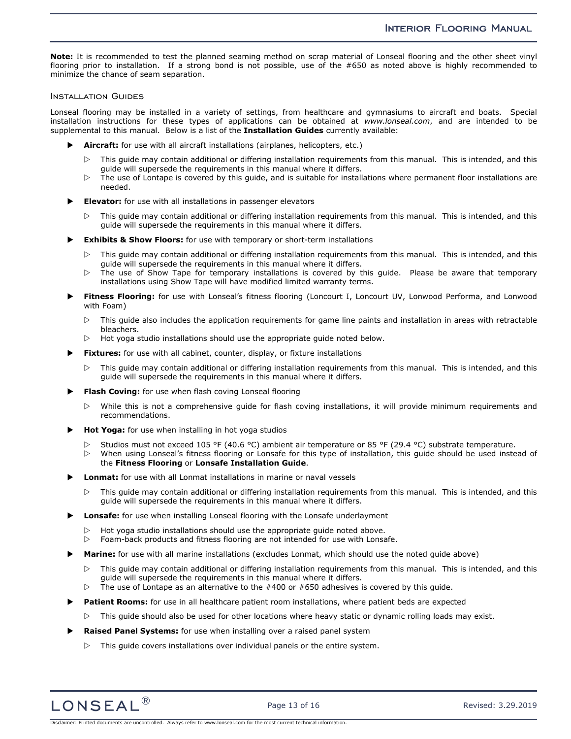**Note:** It is recommended to test the planned seaming method on scrap material of Lonseal flooring and the other sheet vinyl flooring prior to installation. If a strong bond is not possible, use of the #650 as noted above is highly recommended to minimize the chance of seam separation.

#### Installation Guides

Lonseal flooring may be installed in a variety of settings, from healthcare and gymnasiums to aircraft and boats. Special installation instructions for these types of applications can be obtained at *www.lonseal.com*, and are intended to be supplemental to this manual. Below is a list of the **Installation Guides** currently available:

- **Aircraft:** for use with all aircraft installations (airplanes, helicopters, etc.)
	- $\triangleright$  This guide may contain additional or differing installation requirements from this manual. This is intended, and this guide will supersede the requirements in this manual where it differs.
	- $\triangleright$  The use of Lontape is covered by this guide, and is suitable for installations where permanent floor installations are needed.
- **Elevator:** for use with all installations in passenger elevators
	- $\triangleright$  This guide may contain additional or differing installation requirements from this manual. This is intended, and this guide will supersede the requirements in this manual where it differs.
- **Exhibits & Show Floors:** for use with temporary or short-term installations
	- $\triangleright$  This guide may contain additional or differing installation requirements from this manual. This is intended, and this guide will supersede the requirements in this manual where it differs.
	- $\triangleright$  The use of Show Tape for temporary installations is covered by this guide. Please be aware that temporary installations using Show Tape will have modified limited warranty terms.
- **Fitness Flooring:** for use with Lonseal's fitness flooring (Loncourt I, Loncourt UV, Lonwood Performa, and Lonwood with Foam)
	- $\triangleright$  This guide also includes the application requirements for game line paints and installation in areas with retractable bleachers.
	- $\triangleright$ Hot yoga studio installations should use the appropriate guide noted below.
- **Fixtures:** for use with all cabinet, counter, display, or fixture installations
	- $\triangleright$  This guide may contain additional or differing installation requirements from this manual. This is intended, and this guide will supersede the requirements in this manual where it differs.
- **Flash Coving:** for use when flash coving Lonseal flooring
	- $\triangleright$  While this is not a comprehensive guide for flash coving installations, it will provide minimum requirements and recommendations.
- **Hot Yoga:** for use when installing in hot yoga studios
	- $\triangleright$ Studios must not exceed 105 °F (40.6 °C) ambient air temperature or 85 °F (29.4 °C) substrate temperature.
	- $\triangleright$  When using Lonseal's fitness flooring or Lonsafe for this type of installation, this guide should be used instead of the **Fitness Flooring** or **Lonsafe Installation Guide**.
- **Lonmat:** for use with all Lonmat installations in marine or naval vessels
	- $\triangleright$  This guide may contain additional or differing installation requirements from this manual. This is intended, and this guide will supersede the requirements in this manual where it differs.
- **Lonsafe:** for use when installing Lonseal flooring with the Lonsafe underlayment
	- $\triangleright$ Hot yoga studio installations should use the appropriate guide noted above.
	- $\triangleright$  Foam-back products and fitness flooring are not intended for use with Lonsafe.
- **Marine:** for use with all marine installations (excludes Lonmat, which should use the noted guide above)
	- $\triangleright$  This guide may contain additional or differing installation requirements from this manual. This is intended, and this guide will supersede the requirements in this manual where it differs.
	- $\triangleright$ The use of Lontape as an alternative to the #400 or #650 adhesives is covered by this guide.
- **Patient Rooms:** for use in all healthcare patient room installations, where patient beds are expected
	- $\triangleright$  This guide should also be used for other locations where heavy static or dynamic rolling loads may exist.
- **Raised Panel Systems:** for use when installing over a raised panel system
	- $\triangleright$  This guide covers installations over individual panels or the entire system.

 $LONSEAL <sup>(B)</sup>$  Page 13 of 16 Revised: 3.29.2019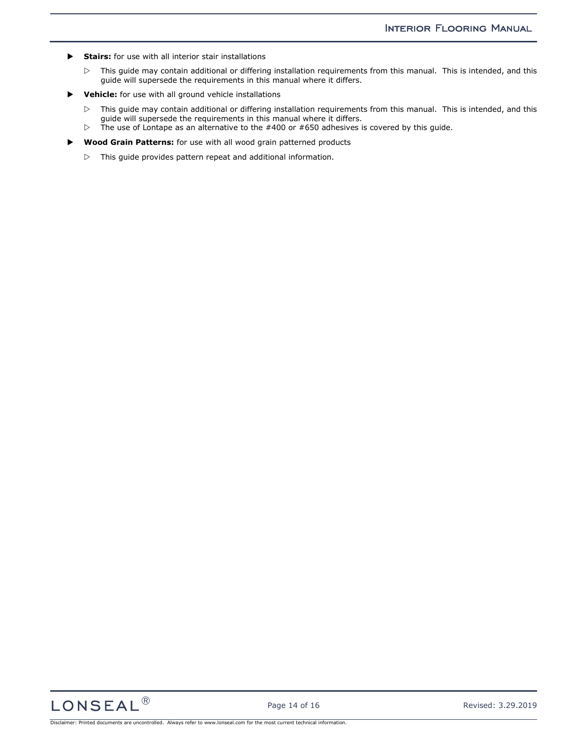- **Stairs:** for use with all interior stair installations
	- $\triangleright$  This guide may contain additional or differing installation requirements from this manual. This is intended, and this guide will supersede the requirements in this manual where it differs.
- **Vehicle:** for use with all ground vehicle installations
	- $\triangleright$  This guide may contain additional or differing installation requirements from this manual. This is intended, and this guide will supersede the requirements in this manual where it differs.
	- $\, \triangleright$ The use of Lontape as an alternative to the #400 or #650 adhesives is covered by this guide.
- **Wood Grain Patterns:** for use with all wood grain patterned products
	- $\triangleright$  This guide provides pattern repeat and additional information.

 $LONSEAL<sup>®</sup>$  Page 14 of 16 Revised: 3.29.2019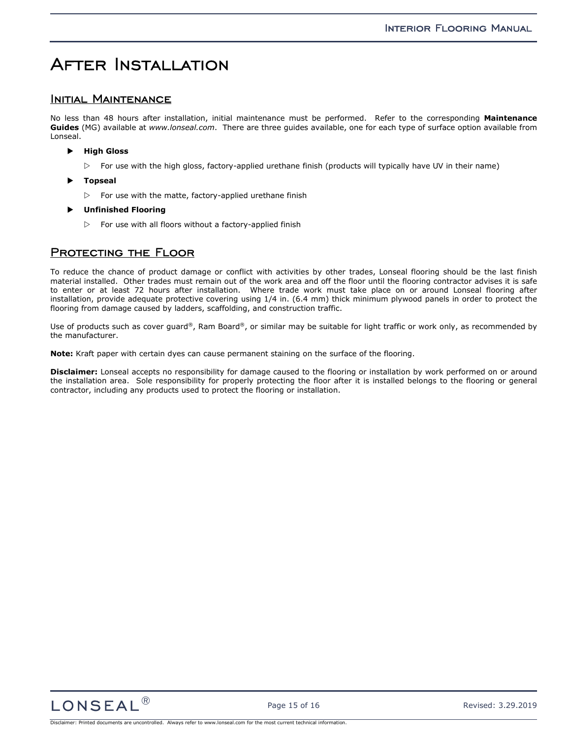## After Installation

### INITIAL MAINTENANCE

No less than 48 hours after installation, initial maintenance must be performed. Refer to the corresponding **Maintenance Guides** (MG) available at *www.lonseal.com*. There are three guides available, one for each type of surface option available from Lonseal.

- **High Gloss** 
	- $\triangleright$  For use with the high gloss, factory-applied urethane finish (products will typically have UV in their name)
- **Topseal** 
	- $\triangleright$  For use with the matte, factory-applied urethane finish
- **Unfinished Flooring** 
	- $\triangleright$  For use with all floors without a factory-applied finish

## PROTECTING THE FLOOR

To reduce the chance of product damage or conflict with activities by other trades, Lonseal flooring should be the last finish material installed. Other trades must remain out of the work area and off the floor until the flooring contractor advises it is safe to enter or at least 72 hours after installation. Where trade work must take place on or around Lonseal flooring after installation, provide adequate protective covering using 1/4 in. (6.4 mm) thick minimum plywood panels in order to protect the flooring from damage caused by ladders, scaffolding, and construction traffic.

Use of products such as cover guard®, Ram Board®, or similar may be suitable for light traffic or work only, as recommended by the manufacturer.

**Note:** Kraft paper with certain dyes can cause permanent staining on the surface of the flooring.

**Disclaimer:** Lonseal accepts no responsibility for damage caused to the flooring or installation by work performed on or around the installation area. Sole responsibility for properly protecting the floor after it is installed belongs to the flooring or general contractor, including any products used to protect the flooring or installation.

 $LONSEAL<sup>(8)</sup>$  Page 15 of 16 Revised: 3.29.2019